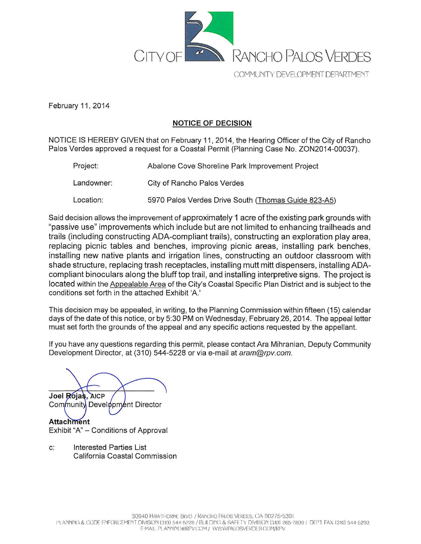

February 11, 2014

## **NOTICE OF DECISION**

NOTICE IS HEREBY GIVEN that on February 11, 2014, the Hearing Officer of the City of Rancho Palos Verdes approved a request for a Coastal Permit (Planning Case No. ZON2014-00037).

| Project:   | Abalone Cove Shoreline Park Improvement Project     |
|------------|-----------------------------------------------------|
| Landowner: | City of Rancho Palos Verdes                         |
| Location:  | 5970 Palos Verdes Drive South (Thomas Guide 823-A5) |

Said decision allows the improvement of approximately 1 acre of the existing park grounds with "passive use" improvements which include but are not limited to enhancing trailheads and trails (including constructing ADA-compliant trails), constructing an exploration play area, replacing picnic tables and benches, improving picnic areas, installing park benches, installing new native plants and irrigation lines, constructing an outdoor classroom with shade structure, replacing trash receptacles, installing mutt mitt dispensers, installing ADAcompliant binoculars along the bluff top trail, and installing interpretive signs. The project is located within the Appealable Area of the City's Coastal Specific Plan District and is subject to the conditions set forth in the attached Exhibit 'A.'

This decision may be appealed, in writing, to the Planning Commission within fifteen (15) calendar days of the date of this notice, or by 5:30 PM on Wednesday, February 26, 2014. The appeal letter must set forth the grounds of the appeal and any specific actions requested by the appellant.

If you have any questions regarding this permit, please contact Ara Mihranian, Deputy Community Development Director, at (310) 544-5228 or via e-mail at aram@rpv.com.

Joel Rojas, AICP Community Development Director

**Attachment** 

- Exhibit "A" Conditions of Approval c: Interested Parties List
	- California Coastal Commission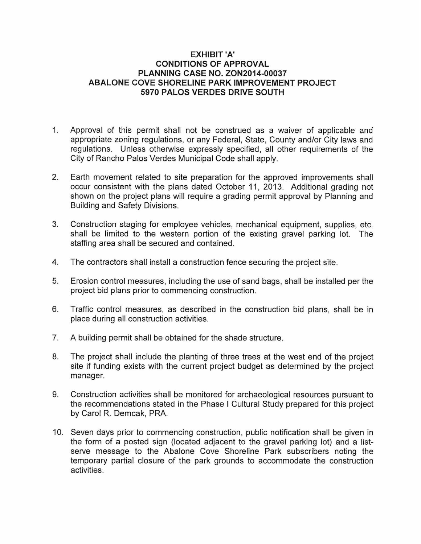## **EXHIBIT 'A' CONDITIONS OF APPROVAL PLANNING CASE NO. ZON2014-00037 ABALONE COVE SHORELINE PARK IMPROVEMENT PROJECT 5970 PALOS VERDES DRIVE SOUTH**

- 1. Approval of this permit shall not be construed as a waiver of applicable and appropriate zoning regulations, or any Federal, State, County and/or City laws and regulations. Unless otherwise expressly specified, all other requirements of the City of Rancho Palos Verdes Municipal Code shall apply.
- 2. Earth movement related to site preparation for the approved improvements shall occur consistent with the plans dated October 11, 2013. Additional grading not shown on the project plans will require a grading permit approval by Planning and Building and Safety Divisions.
- 3. Construction staging for employee vehicles, mechanical equipment, supplies, etc. shall be limited to the western portion of the existing gravel parking lot. The staffing area shall be secured and contained.
- 4. The contractors shall install a construction fence securing the project site.
- 5. Erosion control measures, including the use of sand bags, shall be installed per the project bid plans prior to commencing construction.
- 6. Traffic control measures, as described in the construction bid plans, shall be in place during all construction activities.
- 7. A building permit shall be obtained for the shade structure.
- 8. The project shall include the planting of three trees at the west end of the project site if funding exists with the current project budget as determined by the project manager.
- 9. Construction activities shall be monitored for archaeological resources pursuant to the recommendations stated in the Phase I Cultural Study prepared for this project by Carol R. Demcak, PRA.
- 10. Seven days prior to commencing construction, public notification shall be given in the form of a posted sign (located adjacent to the gravel parking lot) and a listserve message to the Abalone Cove Shoreline Park subscribers noting the temporary partial closure of the park grounds to accommodate the construction activities.